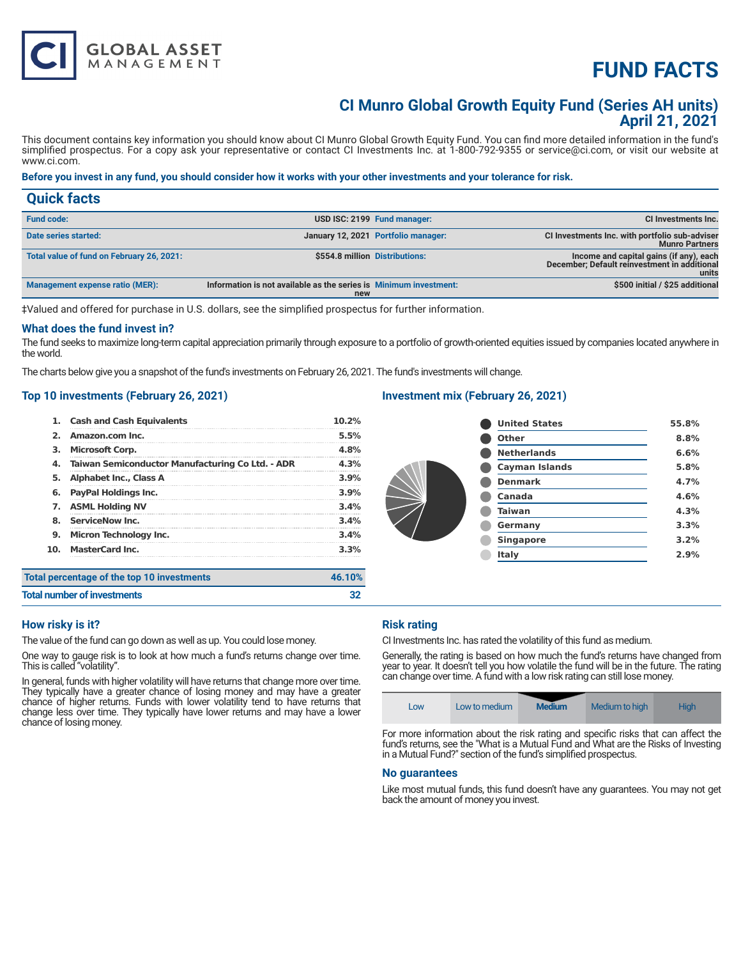# **FUND FACTS**

### **CI Munro Global Growth Equity Fund (Series AH units) April 21, 2021**

This document contains key information you should know about CI Munro Global Growth Equity Fund. You can find more detailed information in the fund's simplified prospectus. For a copy ask your representative or contact CI Investments Inc. at 1-800-792-9355 or service@ci.com, or visit our website at www.ci.com.

#### **Before you invest in any fund, you should consider how it works with your other investments and your tolerance for risk.**

| <b>Quick facts</b>                        |                                                                          |                                     |                                                                                                  |
|-------------------------------------------|--------------------------------------------------------------------------|-------------------------------------|--------------------------------------------------------------------------------------------------|
| <b>Fund code:</b>                         |                                                                          | USD ISC: 2199 Fund manager:         | CI Investments Inc.                                                                              |
| Date series started:                      |                                                                          | January 12, 2021 Portfolio manager: | CI Investments Inc. with portfolio sub-adviser<br><b>Munro Partners</b>                          |
| Total value of fund on February 26, 2021: | \$554.8 million Distributions:                                           |                                     | Income and capital gains (if any), each<br>December; Default reinvestment in additional<br>units |
| Management expense ratio (MER):           | Information is not available as the series is Minimum investment:<br>new |                                     | \$500 initial / \$25 additional                                                                  |

‡Valued and offered for purchase in U.S. dollars, see the simplified prospectus for further information.

#### **What does the fund invest in?**

The fund seeks to maximize long-term capital appreciation primarily through exposure to a portfolio of growth-oriented equities issued by companies located anywhere in the world.

The charts below give you a snapshot of the fund's investments on February 26, 2021. The fund's investments will change.

#### **Top 10 investments (February 26, 2021)**

**GLOBAL ASSET**<br>MANAGEMENT

| 1.  | <b>Cash and Cash Equivalents</b>                 | 10.2%  |
|-----|--------------------------------------------------|--------|
| 2.  | Amazon.com Inc.                                  | 5.5%   |
| з.  | <b>Microsoft Corp.</b>                           | 4.8%   |
| 4.  | Taiwan Semiconductor Manufacturing Co Ltd. - ADR | 4.3%   |
| 5.  | Alphabet Inc., Class A                           | 3.9%   |
| 6.  | PayPal Holdings Inc.                             | 3.9%   |
| 7.  | <b>ASML Holding NV</b>                           | 3.4%   |
| 8.  | <b>ServiceNow Inc.</b>                           | 3.4%   |
| 9.  | <b>Micron Technology Inc.</b>                    | 3.4%   |
| 10. | <b>MasterCard Inc.</b>                           | 3.3%   |
|     | percentage of the top 10 investments             | 46.10% |
|     |                                                  |        |

#### **Investment mix (February 26, 2021)**

| <b>United States</b>  | 55.8% |
|-----------------------|-------|
| Other                 | 8.8%  |
| <b>Netherlands</b>    | 6.6%  |
| <b>Cayman Islands</b> | 5.8%  |
| <b>Denmark</b>        | 4.7%  |
| Canada                | 4.6%  |
| <b>Taiwan</b>         | 4.3%  |
| Germany               | 3.3%  |
| <b>Singapore</b>      | 3.2%  |
| Italy                 | 2.9%  |
|                       |       |

| Total percentage of the top 10 investments | 46.10% |
|--------------------------------------------|--------|
| <b>Total number of investments</b>         | 32     |

#### **How risky is it?**

The value of the fund can go down as well as up. You could lose money.

One way to gauge risk is to look at how much a fund's returns change over time. This is called "volatility".

In general, funds with higher volatility will have returns that change more over time. They typically have a greater chance of losing money and may have a greater chance of higher returns. Funds with lower volatility tend to have returns that change less over time. They typically have lower returns and may have a lower chance of losing money.

#### **Risk rating**

CI Investments Inc. has rated the volatility of this fund as medium.

Generally, the rating is based on how much the fund's returns have changed from year to year. It doesn't tell you how volatile the fund will be in the future. The rating can change over time. A fund with a low risk rating can still lose money.

|  | LOW | Low to medium | <b>Medium</b> | Medium to high | High |
|--|-----|---------------|---------------|----------------|------|
|--|-----|---------------|---------------|----------------|------|

For more information about the risk rating and specific risks that can affect the fund's returns, see the "What is a Mutual Fund and What are the Risks of Investing in a Mutual Fund?" section of the fund's simplified prospectus.

#### **No guarantees**

Like most mutual funds, this fund doesn't have any guarantees. You may not get back the amount of money you invest.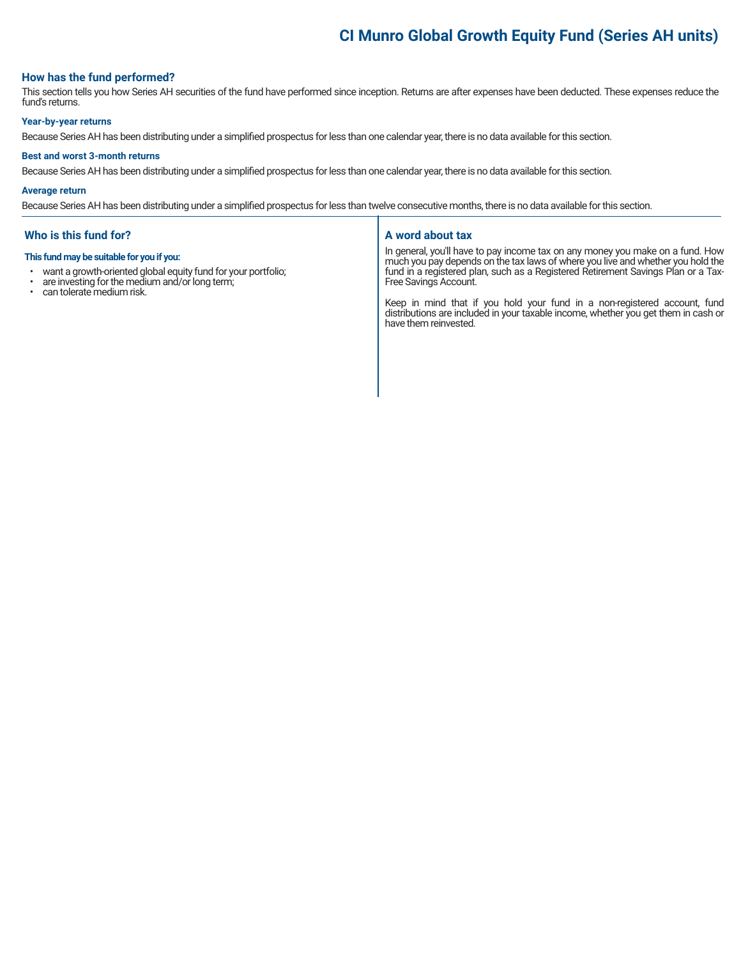### **CI Munro Global Growth Equity Fund (Series AH units)**

#### **How has the fund performed?**

This section tells you how Series AH securities of the fund have performed since inception. Returns are after expenses have been deducted. These expenses reduce the fund's returns.

#### **Year-by-year returns**

Because Series AH has been distributing under a simplified prospectus for less than one calendar year, there is no data available for this section.

#### **Best and worst 3-month returns**

Because Series AH has been distributing under a simplified prospectus for less than one calendar year, there is no data available for this section.

#### **Average return**

Because Series AH has been distributing under a simplified prospectus for less than twelve consecutive months, there is no data available for this section.

#### **Who is this fund for?**

#### **This fund may be suitable for you if you:**

- want a growth-oriented global equity fund for your portfolio;<br>• are investing for the medium and/or long term:
- are investing for the medium and/or long term;<br>• can telerate medium risk
- can tolerate medium risk.

#### **A word about tax**

In general, you'll have to pay income tax on any money you make on a fund. How much you pay depends on the tax laws of where you live and whether you hold the fund in a registered plan, such as a Registered Retirement Savings Plan or a Tax-Free Savings Account.

Keep in mind that if you hold your fund in a non-registered account, fund distributions are included in your taxable income, whether you get them in cash or have them reinvested.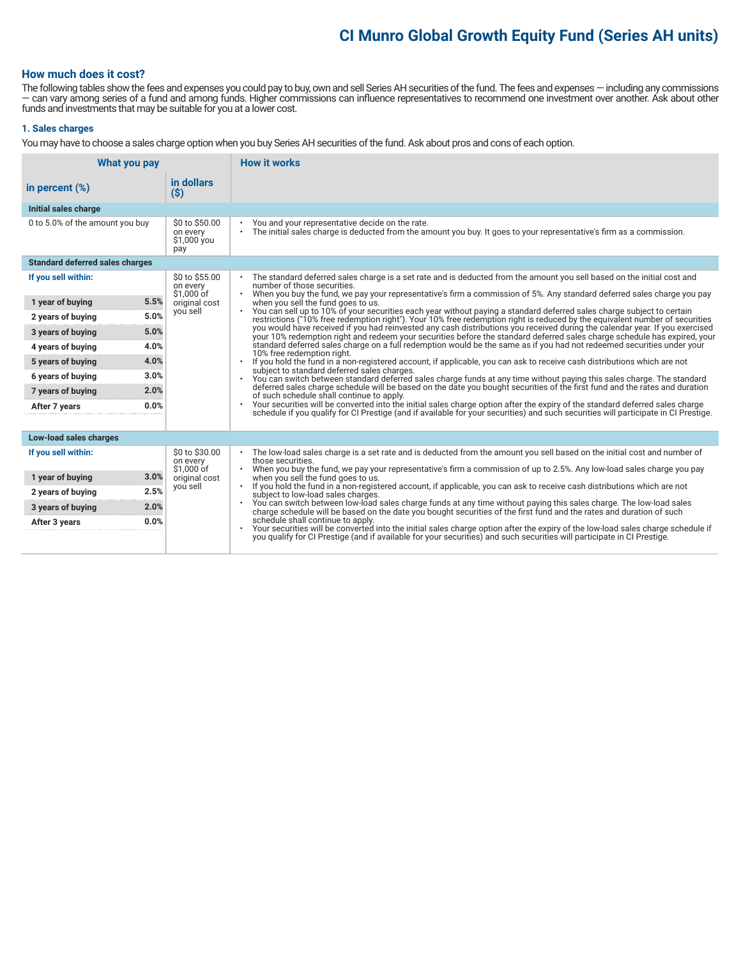## **CI Munro Global Growth Equity Fund (Series AH units)**

#### **How much does it cost?**

The following tables show the fees and expenses you could pay to buy, own and sell Series AH securities of the fund. The fees and expenses — including any commissions — can vary among series of a fund and among funds. Higher commissions can influence representatives to recommend one investment over another. Ask about other funds and investments that may be suitable for you at a lower cost.

#### **1. Sales charges**

You may have to choose a sales charge option when you buy Series AH securities of the fund. Ask about pros and cons of each option.

| What you pay                           |                                                  | <b>How it works</b>                                                                                                                                                                                                                                                                                                                                                                                               |
|----------------------------------------|--------------------------------------------------|-------------------------------------------------------------------------------------------------------------------------------------------------------------------------------------------------------------------------------------------------------------------------------------------------------------------------------------------------------------------------------------------------------------------|
| in percent $(\%)$                      | in dollars<br>$(\$)$                             |                                                                                                                                                                                                                                                                                                                                                                                                                   |
| Initial sales charge                   |                                                  |                                                                                                                                                                                                                                                                                                                                                                                                                   |
| 0 to 5.0% of the amount you buy        | \$0 to \$50.00<br>on every<br>\$1,000 you<br>pay | You and your representative decide on the rate.<br>$\bullet$<br>The initial sales charge is deducted from the amount you buy. It goes to your representative's firm as a commission.<br>$\bullet$                                                                                                                                                                                                                 |
| <b>Standard deferred sales charges</b> |                                                  |                                                                                                                                                                                                                                                                                                                                                                                                                   |
| If you sell within:                    | \$0 to \$55.00<br>on every<br>\$1,000 of         | . The standard deferred sales charge is a set rate and is deducted from the amount you sell based on the initial cost and<br>number of those securities.<br>When you buy the fund, we pay your representative's firm a commission of 5%. Any standard deferred sales charge you pay                                                                                                                               |
| 5.5%<br>1 year of buying               | original cost                                    | when you sell the fund goes to us.                                                                                                                                                                                                                                                                                                                                                                                |
| 5.0%<br>2 years of buying              | you sell                                         | You can sell up to 10% of your securities each year without paying a standard deferred sales charge subject to certain<br>restrictions ("10% free redemption right"). Your 10% free redemption right is reduced by the equivalent number of securities                                                                                                                                                            |
| 5.0%<br>3 years of buying              |                                                  | you would have received if you had reinvested any cash distributions you received during the calendar year. If you exercised<br>your 10% redemption right and redeem your securities before the standard deferred sales charge schedule has expired, your<br>standard deferred sales charge on a full redemption would be the same as if you had not redeemed securities under your<br>10% free redemption right. |
| 4.0%<br>4 years of buying              |                                                  |                                                                                                                                                                                                                                                                                                                                                                                                                   |
| 4.0%<br>5 years of buying              |                                                  | If you hold the fund in a non-registered account, if applicable, you can ask to receive cash distributions which are not                                                                                                                                                                                                                                                                                          |
| 3.0%<br>6 years of buying              |                                                  | subject to standard deferred sales charges.<br>You can switch between standard deferred sales charge funds at any time without paying this sales charge. The standard                                                                                                                                                                                                                                             |
| 2.0%<br>7 years of buying              |                                                  | deferred sales charge schedule will be based on the date you bought securities of the first fund and the rates and duration<br>of such schedule shall continue to apply.                                                                                                                                                                                                                                          |
| 0.0%<br>After 7 years                  |                                                  | Your securities will be converted into the initial sales charge option after the expiry of the standard deferred sales charge<br>$\bullet$<br>schedule if you qualify for CI Prestige (and if available for your securities) and such securities will participate in CI Prestige.                                                                                                                                 |
|                                        |                                                  |                                                                                                                                                                                                                                                                                                                                                                                                                   |
| Low-load sales charges                 |                                                  |                                                                                                                                                                                                                                                                                                                                                                                                                   |
| If you sell within:                    | \$0 to \$30.00<br>on every<br>\$1.000 of         | The low-load sales charge is a set rate and is deducted from the amount you sell based on the initial cost and number of<br>those securities.<br>When you buy the fund, we pay your representative's firm a commission of up to 2.5%. Any low-load sales charge you pay                                                                                                                                           |
| 1 year of buying<br>3.0%               | original cost                                    | when you sell the fund goes to us.                                                                                                                                                                                                                                                                                                                                                                                |
| 2.5%<br>2 years of buying              | you sell                                         | If you hold the fund in a non-registered account, if applicable, you can ask to receive cash distributions which are not<br>$\bullet$<br>subject to low-load sales charges.                                                                                                                                                                                                                                       |
| 2.0%<br>3 years of buying              |                                                  | You can switch between low-load sales charge funds at any time without paying this sales charge. The low-load sales<br>$\bullet$<br>charge schedule will be based on the date you bought securities of the first fund and the rates and duration of such                                                                                                                                                          |
| 0.0%<br>After 3 years                  |                                                  | schedule shall continue to apply.<br>Your securities will be converted into the initial sales charge option after the expiry of the low-load sales charge schedule if<br>$\bullet$                                                                                                                                                                                                                                |
|                                        |                                                  | you qualify for CI Prestige (and if available for your securities) and such securities will participate in CI Prestige.                                                                                                                                                                                                                                                                                           |